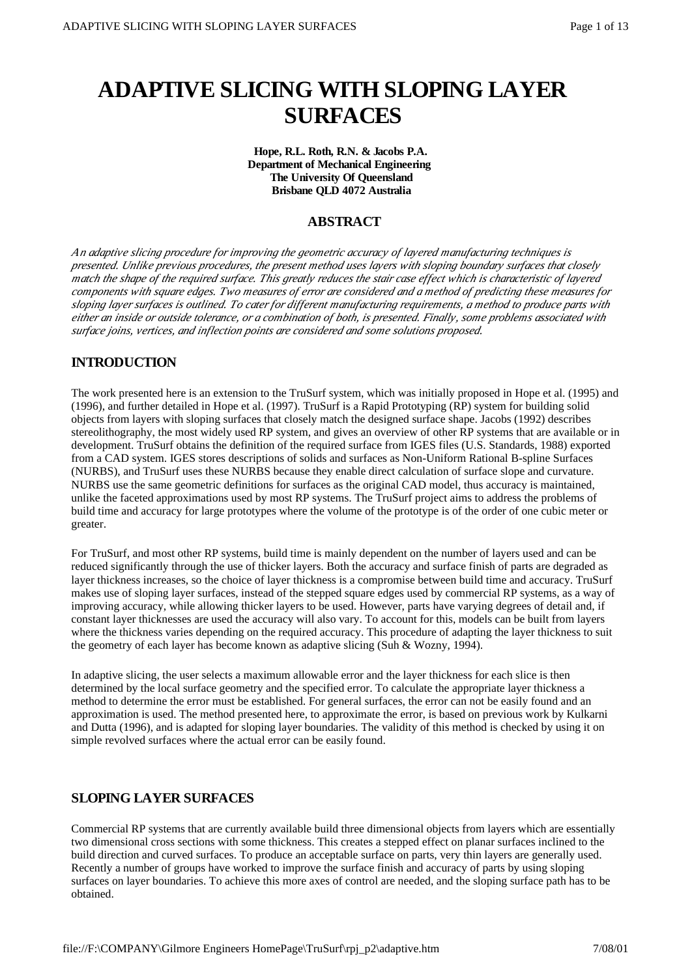# **ADAPTIVE SLICING WITH SLOPING LAYER SURFACES**

**Hope, R.L. Roth, R.N. & Jacobs P.A. Department of Mechanical Engineering The University Of Queensland Brisbane QLD 4072 Australia**

## **ABSTRACT**

*An adaptive slicing procedure for improving the geometric accuracy of layered manufacturing techniques is presented. Unlike previous procedures, the present method uses layers with sloping boundary surfaces that closely match the shape of the required surface. This greatly reduces the stair case effect which is characteristic of layered components with square edges. Two measures of error are considered and a method of predicting these measures for sloping layer surfaces is outlined. To cater for different manufacturing requirements, a method to produce parts with either an inside or outside tolerance, or a combination of both, is presented. Finally, some problems associated with surface joins, vertices, and inflection points are considered and some solutions proposed.*

# **INTRODUCTION**

The work presented here is an extension to the TruSurf system, which was initially proposed in Hope et al. (1995) and (1996), and further detailed in Hope et al. (1997). TruSurf is a Rapid Prototyping (RP) system for building solid objects from layers with sloping surfaces that closely match the designed surface shape. Jacobs (1992) describes stereolithography, the most widely used RP system, and gives an overview of other RP systems that are available or in development. TruSurf obtains the definition of the required surface from IGES files (U.S. Standards, 1988) exported from a CAD system. IGES stores descriptions of solids and surfaces as Non-Uniform Rational B-spline Surfaces (NURBS), and TruSurf uses these NURBS because they enable direct calculation of surface slope and curvature. NURBS use the same geometric definitions for surfaces as the original CAD model, thus accuracy is maintained, unlike the faceted approximations used by most RP systems. The TruSurf project aims to address the problems of build time and accuracy for large prototypes where the volume of the prototype is of the order of one cubic meter or greater.

For TruSurf, and most other RP systems, build time is mainly dependent on the number of layers used and can be reduced significantly through the use of thicker layers. Both the accuracy and surface finish of parts are degraded as layer thickness increases, so the choice of layer thickness is a compromise between build time and accuracy. TruSurf makes use of sloping layer surfaces, instead of the stepped square edges used by commercial RP systems, as a way of improving accuracy, while allowing thicker layers to be used. However, parts have varying degrees of detail and, if constant layer thicknesses are used the accuracy will also vary. To account for this, models can be built from layers where the thickness varies depending on the required accuracy. This procedure of adapting the layer thickness to suit the geometry of each layer has become known as adaptive slicing (Suh & Wozny, 1994).

In adaptive slicing, the user selects a maximum allowable error and the layer thickness for each slice is then determined by the local surface geometry and the specified error. To calculate the appropriate layer thickness a method to determine the error must be established. For general surfaces, the error can not be easily found and an approximation is used. The method presented here, to approximate the error, is based on previous work by Kulkarni and Dutta (1996), and is adapted for sloping layer boundaries. The validity of this method is checked by using it on simple revolved surfaces where the actual error can be easily found.

## **SLOPING LAYER SURFACES**

Commercial RP systems that are currently available build three dimensional objects from layers which are essentially two dimensional cross sections with some thickness. This creates a stepped effect on planar surfaces inclined to the build direction and curved surfaces. To produce an acceptable surface on parts, very thin layers are generally used. Recently a number of groups have worked to improve the surface finish and accuracy of parts by using sloping surfaces on layer boundaries. To achieve this more axes of control are needed, and the sloping surface path has to be obtained.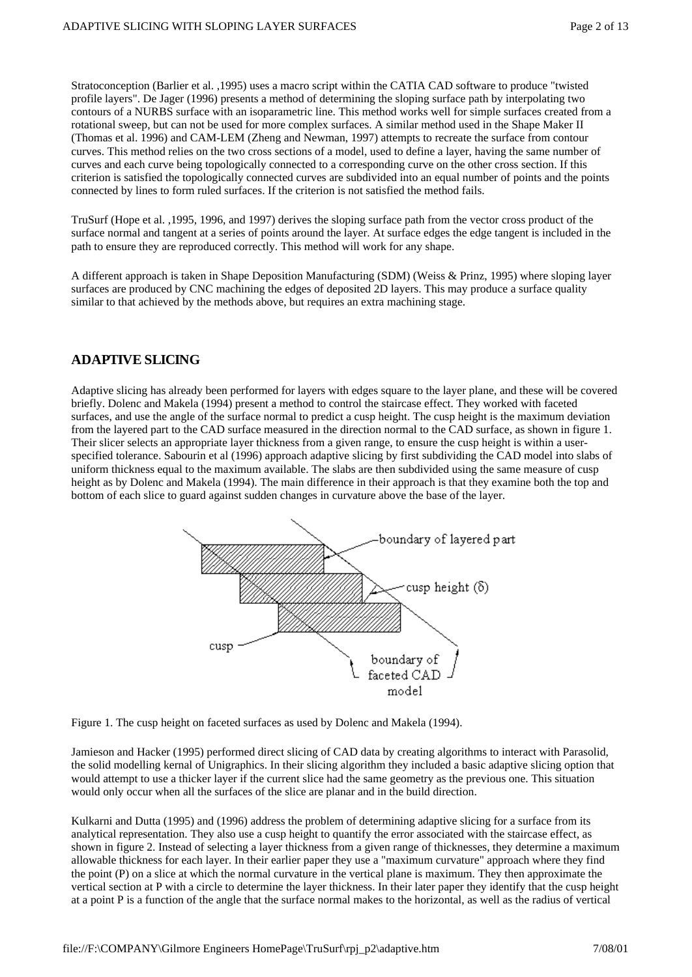Stratoconception (Barlier et al. ,1995) uses a macro script within the CATIA CAD software to produce "twisted profile layers". De Jager (1996) presents a method of determining the sloping surface path by interpolating two contours of a NURBS surface with an isoparametric line. This method works well for simple surfaces created from a rotational sweep, but can not be used for more complex surfaces. A similar method used in the Shape Maker II (Thomas et al. 1996) and CAM-LEM (Zheng and Newman, 1997) attempts to recreate the surface from contour curves. This method relies on the two cross sections of a model, used to define a layer, having the same number of curves and each curve being topologically connected to a corresponding curve on the other cross section. If this criterion is satisfied the topologically connected curves are subdivided into an equal number of points and the points connected by lines to form ruled surfaces. If the criterion is not satisfied the method fails.

TruSurf (Hope et al. ,1995, 1996, and 1997) derives the sloping surface path from the vector cross product of the surface normal and tangent at a series of points around the layer. At surface edges the edge tangent is included in the path to ensure they are reproduced correctly. This method will work for any shape.

A different approach is taken in Shape Deposition Manufacturing (SDM) (Weiss & Prinz, 1995) where sloping layer surfaces are produced by CNC machining the edges of deposited 2D layers. This may produce a surface quality similar to that achieved by the methods above, but requires an extra machining stage.

## **ADAPTIVE SLICING**

Adaptive slicing has already been performed for layers with edges square to the layer plane, and these will be covered briefly. Dolenc and Makela (1994) present a method to control the staircase effect. They worked with faceted surfaces, and use the angle of the surface normal to predict a cusp height. The cusp height is the maximum deviation from the layered part to the CAD surface measured in the direction normal to the CAD surface, as shown in figure 1. Their slicer selects an appropriate layer thickness from a given range, to ensure the cusp height is within a userspecified tolerance. Sabourin et al (1996) approach adaptive slicing by first subdividing the CAD model into slabs of uniform thickness equal to the maximum available. The slabs are then subdivided using the same measure of cusp height as by Dolenc and Makela (1994). The main difference in their approach is that they examine both the top and bottom of each slice to guard against sudden changes in curvature above the base of the layer.



Figure 1. The cusp height on faceted surfaces as used by Dolenc and Makela (1994).

Jamieson and Hacker (1995) performed direct slicing of CAD data by creating algorithms to interact with Parasolid, the solid modelling kernal of Unigraphics. In their slicing algorithm they included a basic adaptive slicing option that would attempt to use a thicker layer if the current slice had the same geometry as the previous one. This situation would only occur when all the surfaces of the slice are planar and in the build direction.

Kulkarni and Dutta (1995) and (1996) address the problem of determining adaptive slicing for a surface from its analytical representation. They also use a cusp height to quantify the error associated with the staircase effect, as shown in figure 2. Instead of selecting a layer thickness from a given range of thicknesses, they determine a maximum allowable thickness for each layer. In their earlier paper they use a "maximum curvature" approach where they find the point (P) on a slice at which the normal curvature in the vertical plane is maximum. They then approximate the vertical section at P with a circle to determine the layer thickness. In their later paper they identify that the cusp height at a point P is a function of the angle that the surface normal makes to the horizontal, as well as the radius of vertical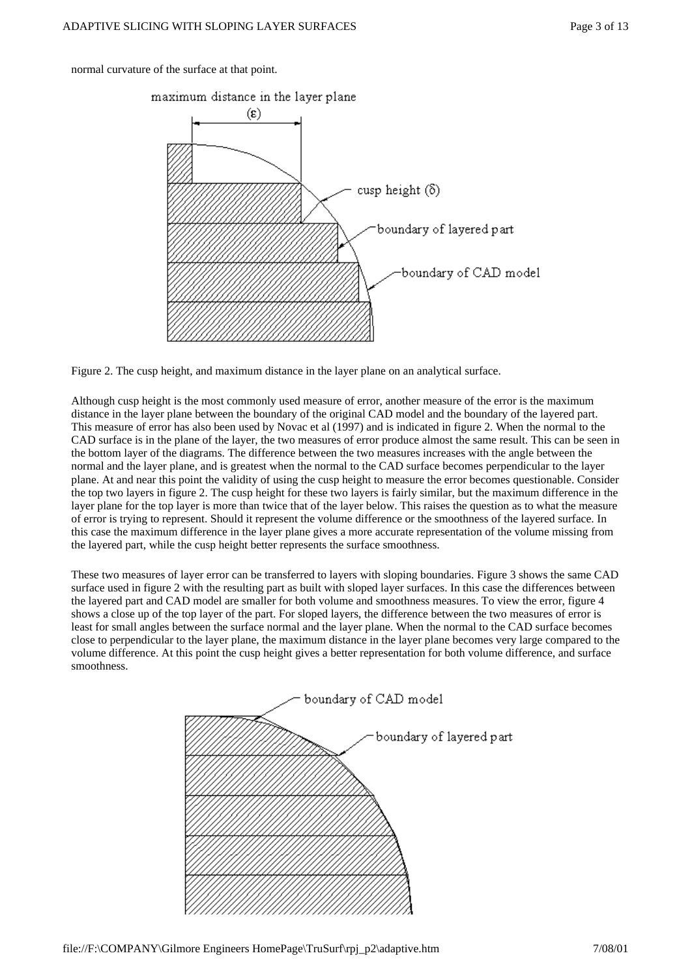normal curvature of the surface at that point.



Figure 2. The cusp height, and maximum distance in the layer plane on an analytical surface.

Although cusp height is the most commonly used measure of error, another measure of the error is the maximum distance in the layer plane between the boundary of the original CAD model and the boundary of the layered part. This measure of error has also been used by Novac et al (1997) and is indicated in figure 2. When the normal to the CAD surface is in the plane of the layer, the two measures of error produce almost the same result. This can be seen in the bottom layer of the diagrams. The difference between the two measures increases with the angle between the normal and the layer plane, and is greatest when the normal to the CAD surface becomes perpendicular to the layer plane. At and near this point the validity of using the cusp height to measure the error becomes questionable. Consider the top two layers in figure 2. The cusp height for these two layers is fairly similar, but the maximum difference in the layer plane for the top layer is more than twice that of the layer below. This raises the question as to what the measure of error is trying to represent. Should it represent the volume difference or the smoothness of the layered surface. In this case the maximum difference in the layer plane gives a more accurate representation of the volume missing from the layered part, while the cusp height better represents the surface smoothness.

These two measures of layer error can be transferred to layers with sloping boundaries. Figure 3 shows the same CAD surface used in figure 2 with the resulting part as built with sloped layer surfaces. In this case the differences between the layered part and CAD model are smaller for both volume and smoothness measures. To view the error, figure 4 shows a close up of the top layer of the part. For sloped layers, the difference between the two measures of error is least for small angles between the surface normal and the layer plane. When the normal to the CAD surface becomes close to perpendicular to the layer plane, the maximum distance in the layer plane becomes very large compared to the volume difference. At this point the cusp height gives a better representation for both volume difference, and surface smoothness.

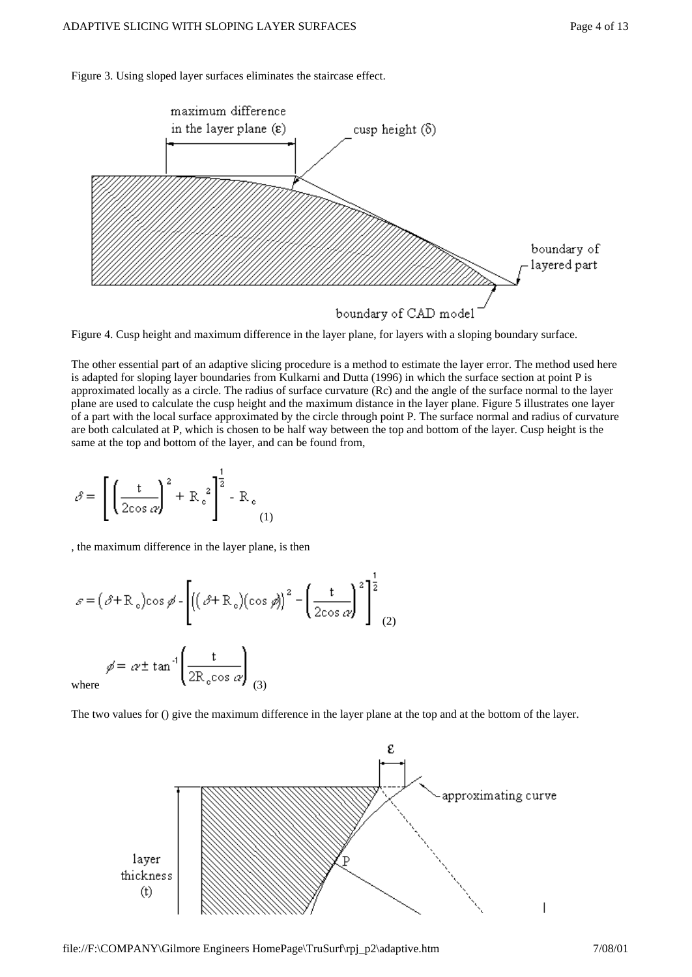Figure 3. Using sloped layer surfaces eliminates the staircase effect.



Figure 4. Cusp height and maximum difference in the layer plane, for layers with a sloping boundary surface.

The other essential part of an adaptive slicing procedure is a method to estimate the layer error. The method used here is adapted for sloping layer boundaries from Kulkarni and Dutta (1996) in which the surface section at point P is approximated locally as a circle. The radius of surface curvature (Rc) and the angle of the surface normal to the layer plane are used to calculate the cusp height and the maximum distance in the layer plane. Figure 5 illustrates one layer of a part with the local surface approximated by the circle through point P. The surface normal and radius of curvature are both calculated at P, which is chosen to be half way between the top and bottom of the layer. Cusp height is the same at the top and bottom of the layer, and can be found from,

$$
\delta = \left[ \left( \frac{t}{2\cos a} \right)^2 + R_e^2 \right]^{\frac{1}{2}} \cdot R_e
$$

, the maximum difference in the layer plane, is then

$$
\varepsilon = (\mathcal{S} + R_e) \cos \varphi \cdot \left[ \left( (\mathcal{S} + R_e)(\cos \varphi) \right)^2 - \left( \frac{t}{2 \cos \alpha} \right)^2 \right]^{\frac{1}{2}}
$$
  
\n
$$
\varphi = \alpha \pm \tan^{-1} \left( \frac{t}{2R_e \cos \alpha} \right)
$$
  
\nwhere

 $\overline{)}$ 

The two values for () give the maximum difference in the layer plane at the top and at the bottom of the layer.

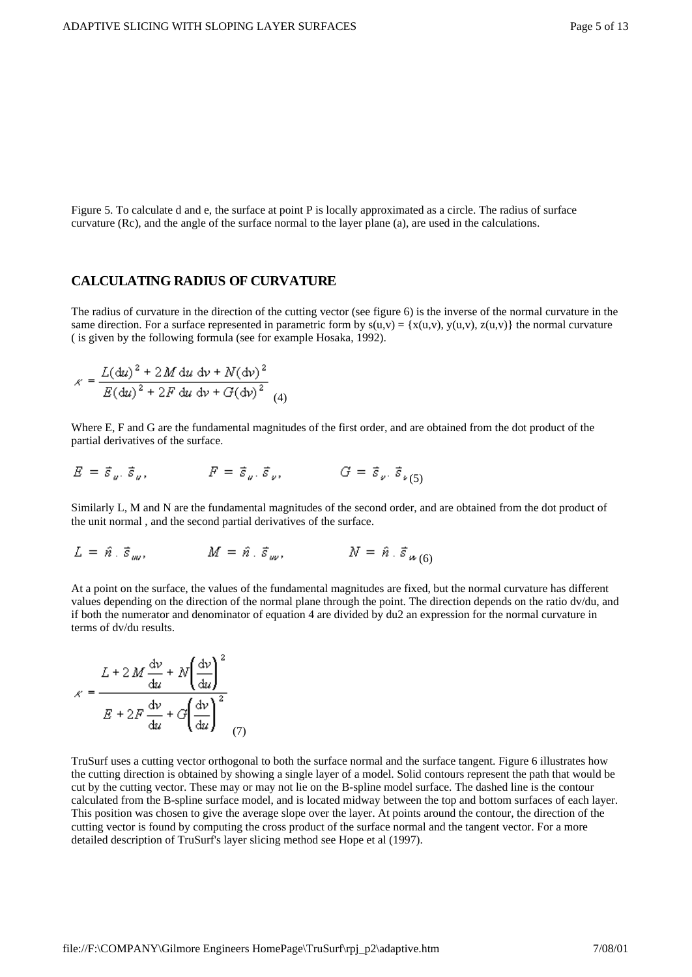Figure 5. To calculate d and e, the surface at point P is locally approximated as a circle. The radius of surface curvature (Rc), and the angle of the surface normal to the layer plane (a), are used in the calculations.

#### **CALCULATING RADIUS OF CURVATURE**

The radius of curvature in the direction of the cutting vector (see figure 6) is the inverse of the normal curvature in the same direction. For a surface represented in parametric form by  $s(u,v) = \{x(u,v), y(u,v), z(u,v)\}\$  the normal curvature ( is given by the following formula (see for example Hosaka, 1992).

$$
\kappa = \frac{L(\mathrm{d}u)^{2} + 2M \mathrm{d}u \mathrm{d}v + N(\mathrm{d}v)^{2}}{E(\mathrm{d}u)^{2} + 2F \mathrm{d}u \mathrm{d}v + G(\mathrm{d}v)^{2}}
$$
(4)

Where E, F and G are the fundamental magnitudes of the first order, and are obtained from the dot product of the partial derivatives of the surface.

$$
E = \vec{s}_u, \vec{s}_u, \qquad F = \vec{s}_u, \vec{s}_v, \qquad G = \vec{s}_v, \vec{s}_{*(5)}
$$

Similarly L, M and N are the fundamental magnitudes of the second order, and are obtained from the dot product of the unit normal , and the second partial derivatives of the surface.

$$
L = \hat{n} \cdot \vec{s}_{\mu\nu}, \qquad M = \hat{n} \cdot \vec{s}_{\mu\nu}, \qquad N = \hat{n} \cdot \vec{s}_{\mu}(6)
$$

At a point on the surface, the values of the fundamental magnitudes are fixed, but the normal curvature has different values depending on the direction of the normal plane through the point. The direction depends on the ratio dv/du, and if both the numerator and denominator of equation 4 are divided by du2 an expression for the normal curvature in terms of dv/du results.

$$
\kappa = \frac{L + 2M \frac{dv}{du} + N \left(\frac{dv}{du}\right)^2}{E + 2F \frac{dv}{du} + G \left(\frac{dv}{du}\right)^2}
$$
(7)

TruSurf uses a cutting vector orthogonal to both the surface normal and the surface tangent. Figure 6 illustrates how the cutting direction is obtained by showing a single layer of a model. Solid contours represent the path that would be cut by the cutting vector. These may or may not lie on the B-spline model surface. The dashed line is the contour calculated from the B-spline surface model, and is located midway between the top and bottom surfaces of each layer. This position was chosen to give the average slope over the layer. At points around the contour, the direction of the cutting vector is found by computing the cross product of the surface normal and the tangent vector. For a more detailed description of TruSurf's layer slicing method see Hope et al (1997).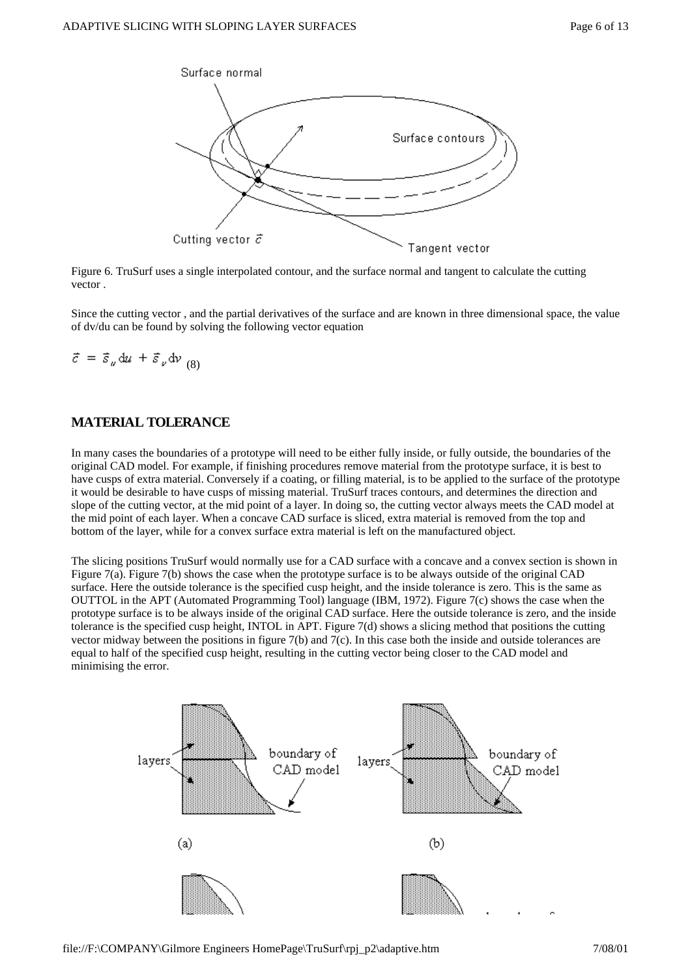

Figure 6. TruSurf uses a single interpolated contour, and the surface normal and tangent to calculate the cutting vector .

Since the cutting vector , and the partial derivatives of the surface and are known in three dimensional space, the value of dv/du can be found by solving the following vector equation

$$
\vec{c} = \vec{s}_u \, du + \vec{s}_\nu dv_{(8)}
$$

## **MATERIAL TOLERANCE**

In many cases the boundaries of a prototype will need to be either fully inside, or fully outside, the boundaries of the original CAD model. For example, if finishing procedures remove material from the prototype surface, it is best to have cusps of extra material. Conversely if a coating, or filling material, is to be applied to the surface of the prototype it would be desirable to have cusps of missing material. TruSurf traces contours, and determines the direction and slope of the cutting vector, at the mid point of a layer. In doing so, the cutting vector always meets the CAD model at the mid point of each layer. When a concave CAD surface is sliced, extra material is removed from the top and bottom of the layer, while for a convex surface extra material is left on the manufactured object.

The slicing positions TruSurf would normally use for a CAD surface with a concave and a convex section is shown in Figure 7(a). Figure 7(b) shows the case when the prototype surface is to be always outside of the original CAD surface. Here the outside tolerance is the specified cusp height, and the inside tolerance is zero. This is the same as OUTTOL in the APT (Automated Programming Tool) language (IBM, 1972). Figure 7(c) shows the case when the prototype surface is to be always inside of the original CAD surface. Here the outside tolerance is zero, and the inside tolerance is the specified cusp height, INTOL in APT. Figure 7(d) shows a slicing method that positions the cutting vector midway between the positions in figure 7(b) and 7(c). In this case both the inside and outside tolerances are equal to half of the specified cusp height, resulting in the cutting vector being closer to the CAD model and minimising the error.

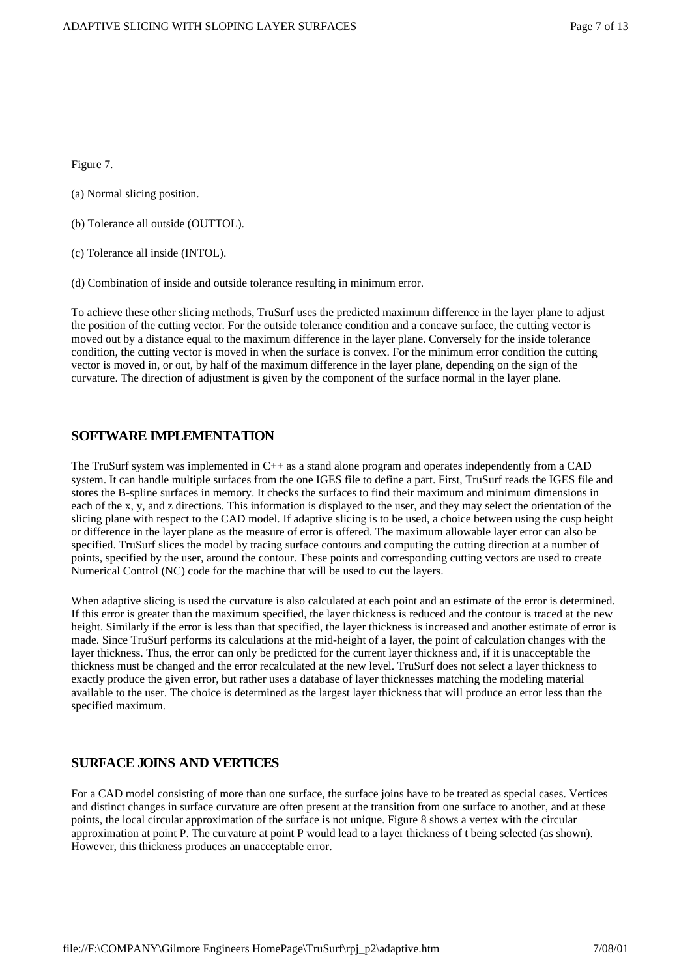Figure 7.

(a) Normal slicing position.

(b) Tolerance all outside (OUTTOL).

(c) Tolerance all inside (INTOL).

(d) Combination of inside and outside tolerance resulting in minimum error.

To achieve these other slicing methods, TruSurf uses the predicted maximum difference in the layer plane to adjust the position of the cutting vector. For the outside tolerance condition and a concave surface, the cutting vector is moved out by a distance equal to the maximum difference in the layer plane. Conversely for the inside tolerance condition, the cutting vector is moved in when the surface is convex. For the minimum error condition the cutting vector is moved in, or out, by half of the maximum difference in the layer plane, depending on the sign of the curvature. The direction of adjustment is given by the component of the surface normal in the layer plane.

#### **SOFTWARE IMPLEMENTATION**

The TruSurf system was implemented in C++ as a stand alone program and operates independently from a CAD system. It can handle multiple surfaces from the one IGES file to define a part. First, TruSurf reads the IGES file and stores the B-spline surfaces in memory. It checks the surfaces to find their maximum and minimum dimensions in each of the x, y, and z directions. This information is displayed to the user, and they may select the orientation of the slicing plane with respect to the CAD model. If adaptive slicing is to be used, a choice between using the cusp height or difference in the layer plane as the measure of error is offered. The maximum allowable layer error can also be specified. TruSurf slices the model by tracing surface contours and computing the cutting direction at a number of points, specified by the user, around the contour. These points and corresponding cutting vectors are used to create Numerical Control (NC) code for the machine that will be used to cut the layers.

When adaptive slicing is used the curvature is also calculated at each point and an estimate of the error is determined. If this error is greater than the maximum specified, the layer thickness is reduced and the contour is traced at the new height. Similarly if the error is less than that specified, the layer thickness is increased and another estimate of error is made. Since TruSurf performs its calculations at the mid-height of a layer, the point of calculation changes with the layer thickness. Thus, the error can only be predicted for the current layer thickness and, if it is unacceptable the thickness must be changed and the error recalculated at the new level. TruSurf does not select a layer thickness to exactly produce the given error, but rather uses a database of layer thicknesses matching the modeling material available to the user. The choice is determined as the largest layer thickness that will produce an error less than the specified maximum.

## **SURFACE JOINS AND VERTICES**

For a CAD model consisting of more than one surface, the surface joins have to be treated as special cases. Vertices and distinct changes in surface curvature are often present at the transition from one surface to another, and at these points, the local circular approximation of the surface is not unique. Figure 8 shows a vertex with the circular approximation at point P. The curvature at point P would lead to a layer thickness of t being selected (as shown). However, this thickness produces an unacceptable error.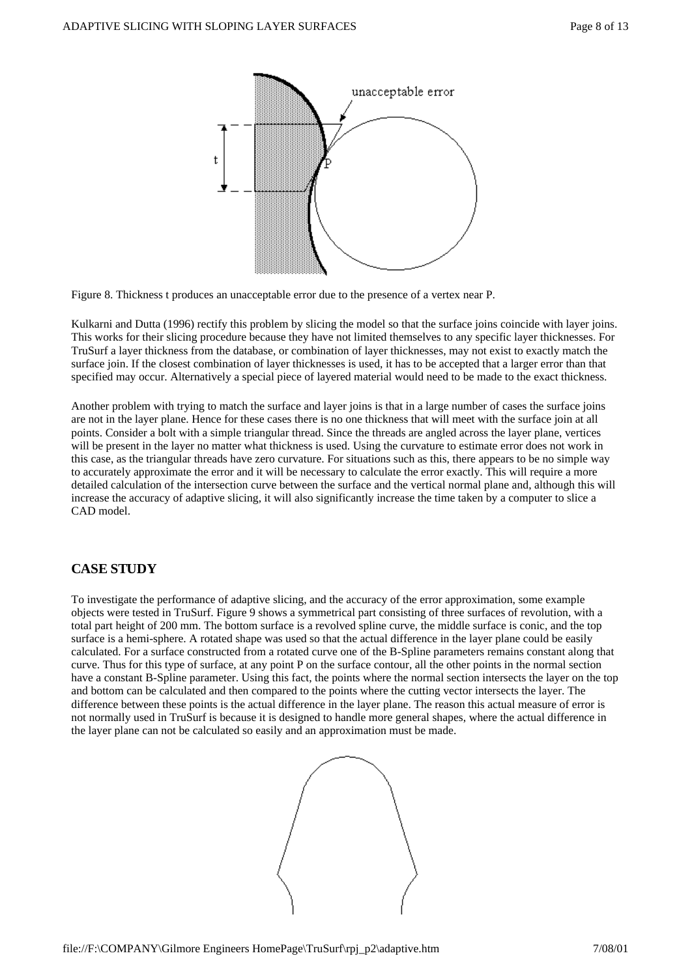

Figure 8. Thickness t produces an unacceptable error due to the presence of a vertex near P.

Kulkarni and Dutta (1996) rectify this problem by slicing the model so that the surface joins coincide with layer joins. This works for their slicing procedure because they have not limited themselves to any specific layer thicknesses. For TruSurf a layer thickness from the database, or combination of layer thicknesses, may not exist to exactly match the surface join. If the closest combination of layer thicknesses is used, it has to be accepted that a larger error than that specified may occur. Alternatively a special piece of layered material would need to be made to the exact thickness.

Another problem with trying to match the surface and layer joins is that in a large number of cases the surface joins are not in the layer plane. Hence for these cases there is no one thickness that will meet with the surface join at all points. Consider a bolt with a simple triangular thread. Since the threads are angled across the layer plane, vertices will be present in the layer no matter what thickness is used. Using the curvature to estimate error does not work in this case, as the triangular threads have zero curvature. For situations such as this, there appears to be no simple way to accurately approximate the error and it will be necessary to calculate the error exactly. This will require a more detailed calculation of the intersection curve between the surface and the vertical normal plane and, although this will increase the accuracy of adaptive slicing, it will also significantly increase the time taken by a computer to slice a CAD model.

## **CASE STUDY**

To investigate the performance of adaptive slicing, and the accuracy of the error approximation, some example objects were tested in TruSurf. Figure 9 shows a symmetrical part consisting of three surfaces of revolution, with a total part height of 200 mm. The bottom surface is a revolved spline curve, the middle surface is conic, and the top surface is a hemi-sphere. A rotated shape was used so that the actual difference in the layer plane could be easily calculated. For a surface constructed from a rotated curve one of the B-Spline parameters remains constant along that curve. Thus for this type of surface, at any point P on the surface contour, all the other points in the normal section have a constant B-Spline parameter. Using this fact, the points where the normal section intersects the layer on the top and bottom can be calculated and then compared to the points where the cutting vector intersects the layer. The difference between these points is the actual difference in the layer plane. The reason this actual measure of error is not normally used in TruSurf is because it is designed to handle more general shapes, where the actual difference in the layer plane can not be calculated so easily and an approximation must be made.

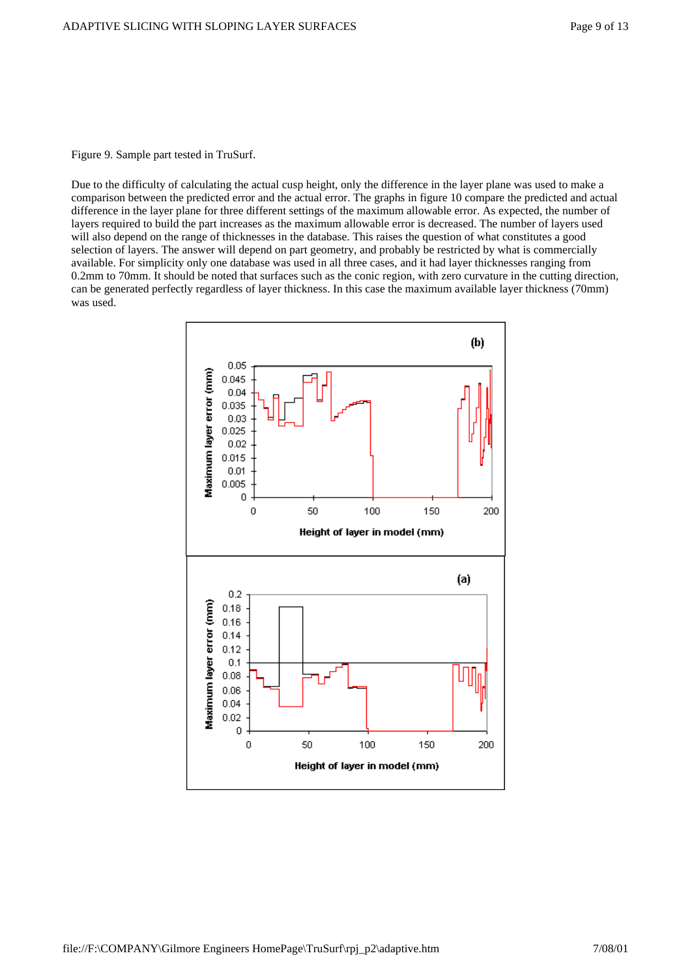Figure 9. Sample part tested in TruSurf.

Due to the difficulty of calculating the actual cusp height, only the difference in the layer plane was used to make a comparison between the predicted error and the actual error. The graphs in figure 10 compare the predicted and actual difference in the layer plane for three different settings of the maximum allowable error. As expected, the number of layers required to build the part increases as the maximum allowable error is decreased. The number of layers used will also depend on the range of thicknesses in the database. This raises the question of what constitutes a good selection of layers. The answer will depend on part geometry, and probably be restricted by what is commercially available. For simplicity only one database was used in all three cases, and it had layer thicknesses ranging from 0.2mm to 70mm. It should be noted that surfaces such as the conic region, with zero curvature in the cutting direction, can be generated perfectly regardless of layer thickness. In this case the maximum available layer thickness (70mm) was used.

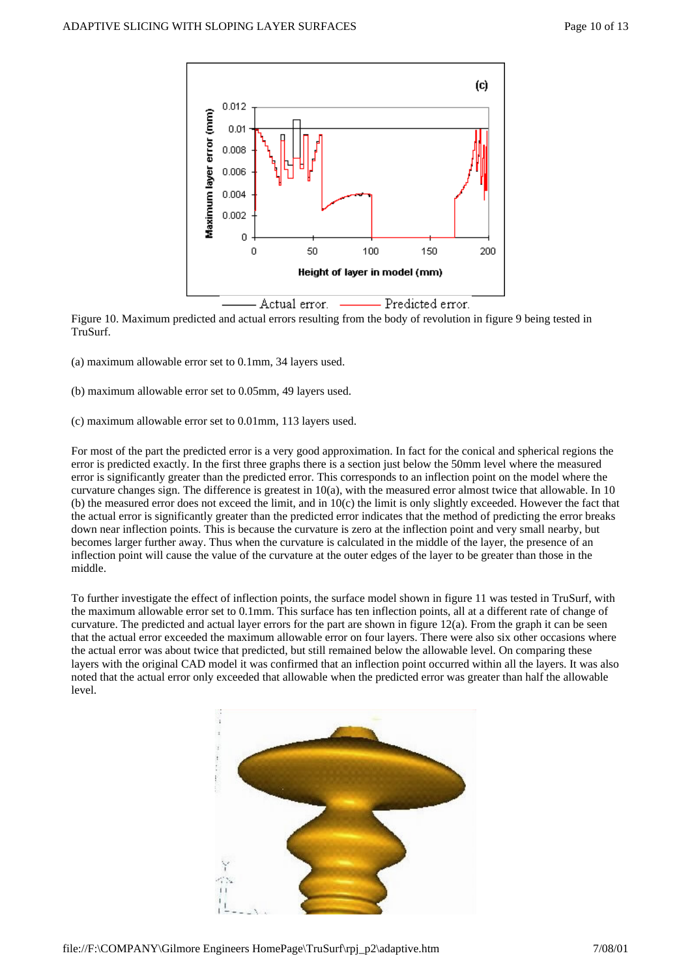

Figure 10. Maximum predicted and actual errors resulting from the body of revolution in figure 9 being tested in TruSurf.

- (a) maximum allowable error set to 0.1mm, 34 layers used.
- (b) maximum allowable error set to 0.05mm, 49 layers used.
- (c) maximum allowable error set to 0.01mm, 113 layers used.

For most of the part the predicted error is a very good approximation. In fact for the conical and spherical regions the error is predicted exactly. In the first three graphs there is a section just below the 50mm level where the measured error is significantly greater than the predicted error. This corresponds to an inflection point on the model where the curvature changes sign. The difference is greatest in 10(a), with the measured error almost twice that allowable. In 10 (b) the measured error does not exceed the limit, and in 10(c) the limit is only slightly exceeded. However the fact that the actual error is significantly greater than the predicted error indicates that the method of predicting the error breaks down near inflection points. This is because the curvature is zero at the inflection point and very small nearby, but becomes larger further away. Thus when the curvature is calculated in the middle of the layer, the presence of an inflection point will cause the value of the curvature at the outer edges of the layer to be greater than those in the middle.

To further investigate the effect of inflection points, the surface model shown in figure 11 was tested in TruSurf, with the maximum allowable error set to 0.1mm. This surface has ten inflection points, all at a different rate of change of curvature. The predicted and actual layer errors for the part are shown in figure 12(a). From the graph it can be seen that the actual error exceeded the maximum allowable error on four layers. There were also six other occasions where the actual error was about twice that predicted, but still remained below the allowable level. On comparing these layers with the original CAD model it was confirmed that an inflection point occurred within all the layers. It was also noted that the actual error only exceeded that allowable when the predicted error was greater than half the allowable level.

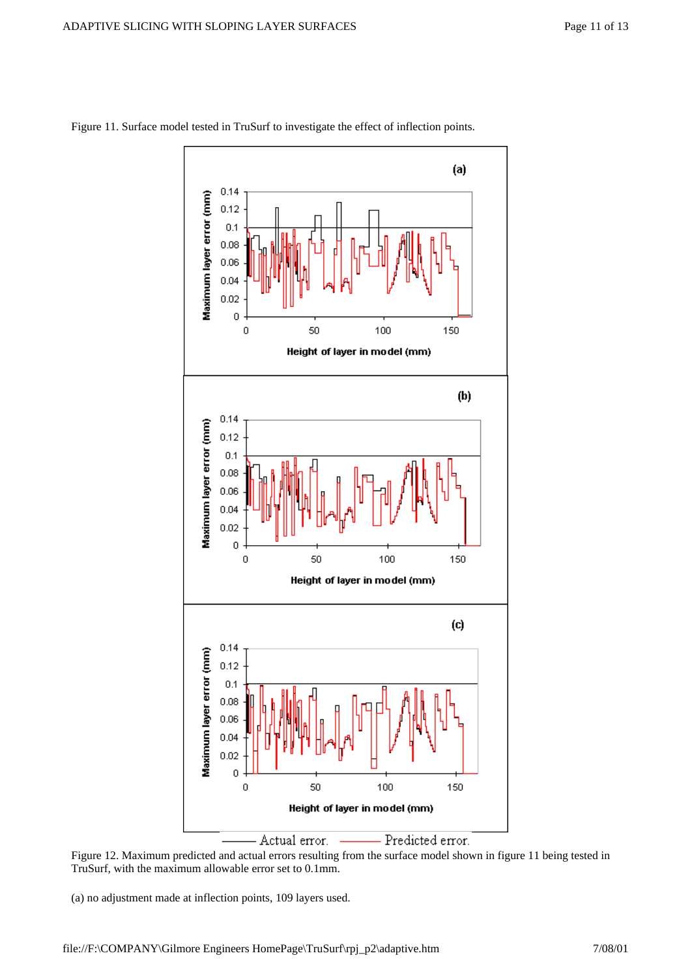

Figure 11. Surface model tested in TruSurf to investigate the effect of inflection points.

Figure 12. Maximum predicted and actual errors resulting from the surface model shown in figure 11 being tested in TruSurf, with the maximum allowable error set to 0.1mm.

(a) no adjustment made at inflection points, 109 layers used.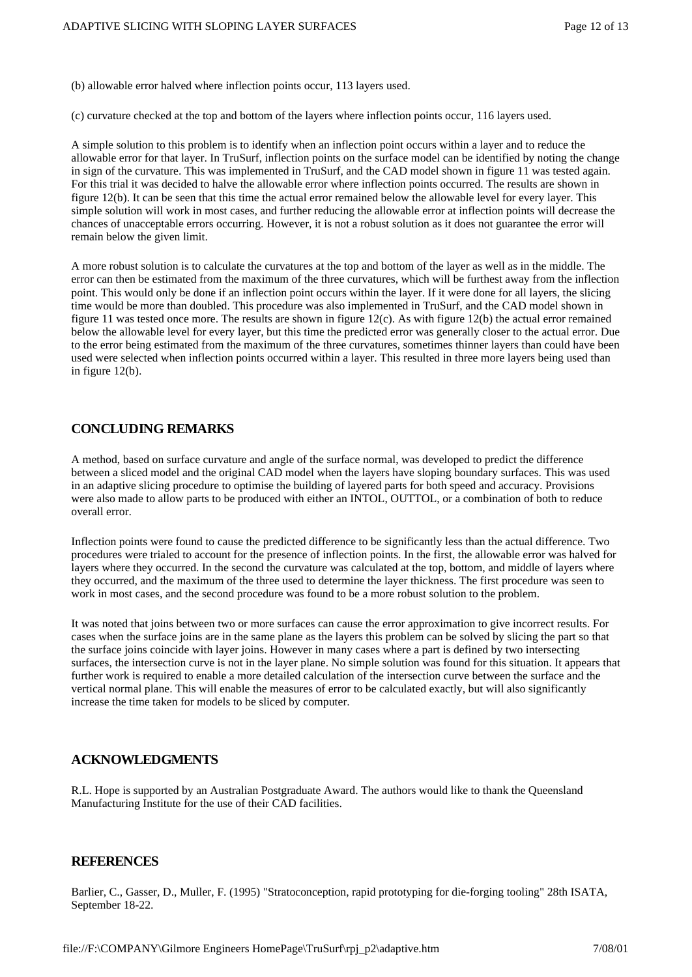(b) allowable error halved where inflection points occur, 113 layers used.

(c) curvature checked at the top and bottom of the layers where inflection points occur, 116 layers used.

A simple solution to this problem is to identify when an inflection point occurs within a layer and to reduce the allowable error for that layer. In TruSurf, inflection points on the surface model can be identified by noting the change in sign of the curvature. This was implemented in TruSurf, and the CAD model shown in figure 11 was tested again. For this trial it was decided to halve the allowable error where inflection points occurred. The results are shown in figure 12(b). It can be seen that this time the actual error remained below the allowable level for every layer. This simple solution will work in most cases, and further reducing the allowable error at inflection points will decrease the chances of unacceptable errors occurring. However, it is not a robust solution as it does not guarantee the error will remain below the given limit.

A more robust solution is to calculate the curvatures at the top and bottom of the layer as well as in the middle. The error can then be estimated from the maximum of the three curvatures, which will be furthest away from the inflection point. This would only be done if an inflection point occurs within the layer. If it were done for all layers, the slicing time would be more than doubled. This procedure was also implemented in TruSurf, and the CAD model shown in figure 11 was tested once more. The results are shown in figure 12(c). As with figure 12(b) the actual error remained below the allowable level for every layer, but this time the predicted error was generally closer to the actual error. Due to the error being estimated from the maximum of the three curvatures, sometimes thinner layers than could have been used were selected when inflection points occurred within a layer. This resulted in three more layers being used than in figure 12(b).

# **CONCLUDING REMARKS**

A method, based on surface curvature and angle of the surface normal, was developed to predict the difference between a sliced model and the original CAD model when the layers have sloping boundary surfaces. This was used in an adaptive slicing procedure to optimise the building of layered parts for both speed and accuracy. Provisions were also made to allow parts to be produced with either an INTOL, OUTTOL, or a combination of both to reduce overall error.

Inflection points were found to cause the predicted difference to be significantly less than the actual difference. Two procedures were trialed to account for the presence of inflection points. In the first, the allowable error was halved for layers where they occurred. In the second the curvature was calculated at the top, bottom, and middle of layers where they occurred, and the maximum of the three used to determine the layer thickness. The first procedure was seen to work in most cases, and the second procedure was found to be a more robust solution to the problem.

It was noted that joins between two or more surfaces can cause the error approximation to give incorrect results. For cases when the surface joins are in the same plane as the layers this problem can be solved by slicing the part so that the surface joins coincide with layer joins. However in many cases where a part is defined by two intersecting surfaces, the intersection curve is not in the layer plane. No simple solution was found for this situation. It appears that further work is required to enable a more detailed calculation of the intersection curve between the surface and the vertical normal plane. This will enable the measures of error to be calculated exactly, but will also significantly increase the time taken for models to be sliced by computer.

## **ACKNOWLEDGMENTS**

R.L. Hope is supported by an Australian Postgraduate Award. The authors would like to thank the Queensland Manufacturing Institute for the use of their CAD facilities.

## **REFERENCES**

Barlier, C., Gasser, D., Muller, F. (1995) "Stratoconception, rapid prototyping for die-forging tooling" 28th ISATA, September 18-22.